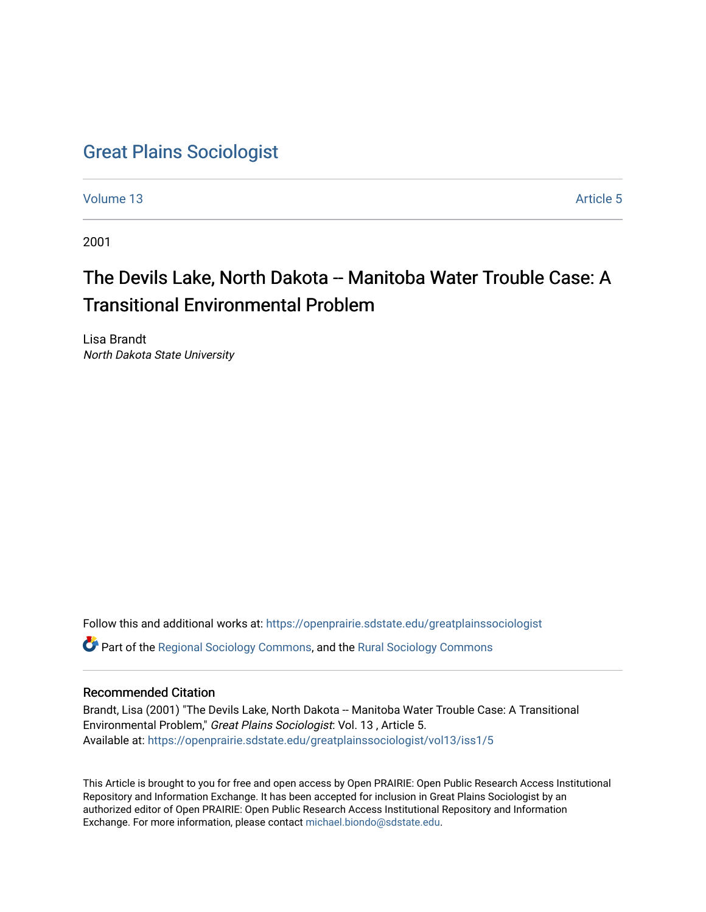## [Great Plains Sociologist](https://openprairie.sdstate.edu/greatplainssociologist)

[Volume 13](https://openprairie.sdstate.edu/greatplainssociologist/vol13) Article 5

2001

# The Devils Lake, North Dakota -- Manitoba Water Trouble Case: A Transitional Environmental Problem

Lisa Brandt North Dakota State University

Follow this and additional works at: [https://openprairie.sdstate.edu/greatplainssociologist](https://openprairie.sdstate.edu/greatplainssociologist?utm_source=openprairie.sdstate.edu%2Fgreatplainssociologist%2Fvol13%2Fiss1%2F5&utm_medium=PDF&utm_campaign=PDFCoverPages) 

Part of the [Regional Sociology Commons](http://network.bepress.com/hgg/discipline/427?utm_source=openprairie.sdstate.edu%2Fgreatplainssociologist%2Fvol13%2Fiss1%2F5&utm_medium=PDF&utm_campaign=PDFCoverPages), and the [Rural Sociology Commons](http://network.bepress.com/hgg/discipline/428?utm_source=openprairie.sdstate.edu%2Fgreatplainssociologist%2Fvol13%2Fiss1%2F5&utm_medium=PDF&utm_campaign=PDFCoverPages) 

#### Recommended Citation

Brandt, Lisa (2001) "The Devils Lake, North Dakota -- Manitoba Water Trouble Case: A Transitional Environmental Problem," Great Plains Sociologist: Vol. 13 , Article 5. Available at: [https://openprairie.sdstate.edu/greatplainssociologist/vol13/iss1/5](https://openprairie.sdstate.edu/greatplainssociologist/vol13/iss1/5?utm_source=openprairie.sdstate.edu%2Fgreatplainssociologist%2Fvol13%2Fiss1%2F5&utm_medium=PDF&utm_campaign=PDFCoverPages)

This Article is brought to you for free and open access by Open PRAIRIE: Open Public Research Access Institutional Repository and Information Exchange. It has been accepted for inclusion in Great Plains Sociologist by an authorized editor of Open PRAIRIE: Open Public Research Access Institutional Repository and Information Exchange. For more information, please contact [michael.biondo@sdstate.edu.](mailto:michael.biondo@sdstate.edu)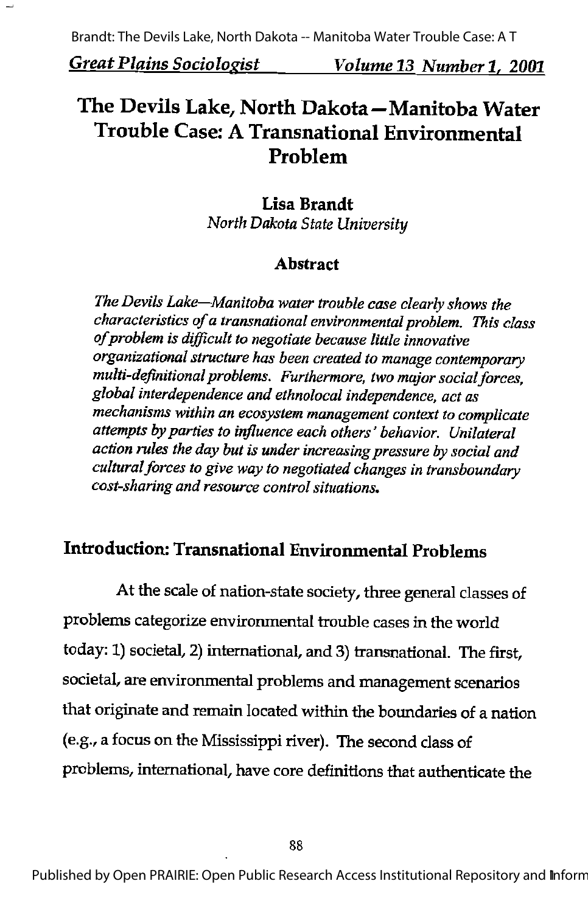## The Devils Lake, North Dakota—Manitoba Water Trouble Case: A Transnational Environmental Problem

## Lisa Brandt

North Dakota State University

#### Abstract

The Devils Lake—Manitoba water trouble case clearly shows the characteristics of a transnational environmental problem. This class of problem is difficult to negotiate because little innovative organizational structure has been created to manage contemporary multi-definitional problems. Furthermore, two major social forces, global interdependence and ethnolocal independence, act as mechanisms within an ecosystem management context to complicate attempts by parties to influence each others' behavior. Unilateral action rules the day but is under increasing pressure by social and cultural forces to give way to negotiated changes in transboundary cost-sharing and resource control situations.

## Introduction: Transnational Environmental Problems

At the scale of nation-state society, three general classes of problems categorize environmental trouble cases in the world today: 1) societal, 2) international, and 3) transnational. The first, societal, are environmental problems and management scenarios that originate and remain located within the boundaries of a nation (e.g.,a focus on the Mississippi river). The second class of problems, international, have core definitions that authenticate the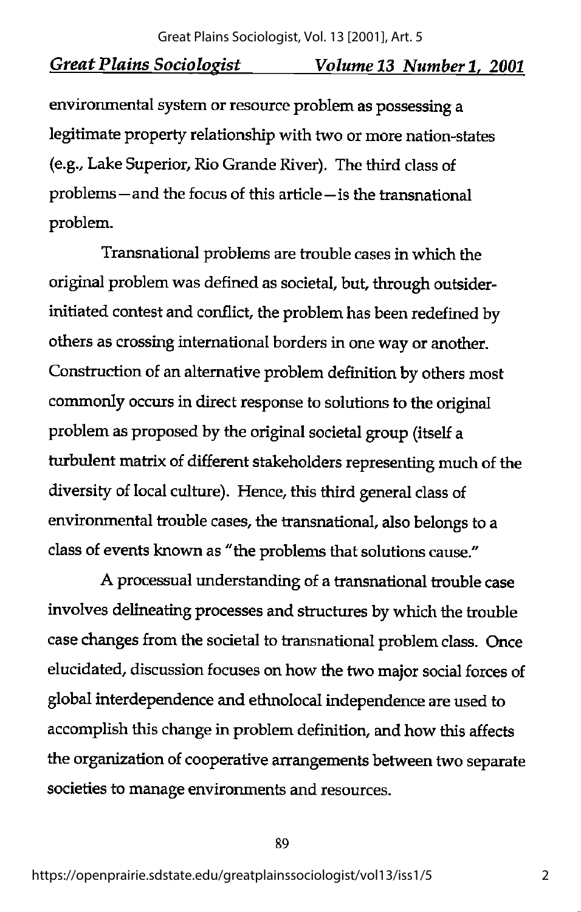environmental system or resource problem as possessing a legitimate property relationship with two or more nation-states (e.g.. Lake Superior, Rio Grande River). The third class of problems—and die focus of this article—is the transnational problem.

Transnational problems are trouble cases in which the original problem was defined as societal, but, through outsiderinitiated contest and conflict, the problem has been redefined by others as crossing international borders in one way or another. Construction of an alternative problem definition by others most commonly occurs in direct response to solutions to the original problem as proposed by the original societal group (itself a turbulent matrix of different stakeholders representing much of the diversity of local culture). Hence, this third general class of environmental trouble cases, the transnational, also belongs to a class of events known as "the problems that solutions cause."

A processual understanding of a transnational trouble case involves delineating processes and structures by which the trouble case changes from the societal to transnational problem class. Once elucidated, discussion focuses on how the two major social forces of global interdependence and ethnolocal independence are used to accomplish this change in problem definition, and how this affects the organization of cooperative arrangements between two separate societies to manage environments and resources.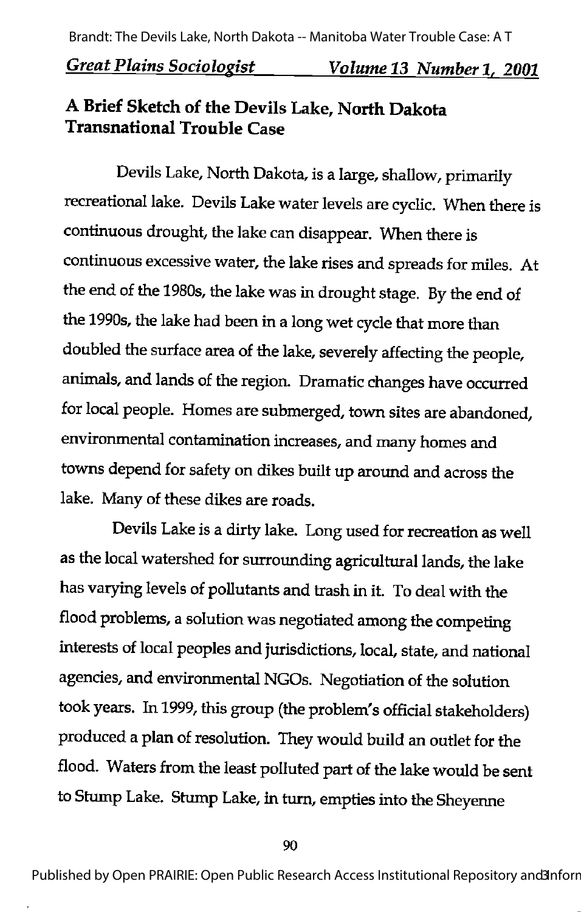## A Brief Sketch of the Devils Lake, North Dakota Transnational Trouble Case

Devils Lake, North Dakota, is a large, shallow, primarily recreational lake. Devils Lake water levels are cyclic. When there is continuous drought, the lake can disappear. When there is continuous excessive water, the lake rises and spreads for miles. At the end of the 1980s, the lake was in drought stage. By the end of the 1990s, the lake had been in a long wet cycle that more than doubled the surface area of the lake, severely affecting the people, animals, and lands of the region. Dramatic changes have occurred for local people. Homes are submerged, town sites are abandoned, environmental contamination increases, and many homes and towns depend for safety on dikes built up around and across the lake. Many of these dikes are roads.

Devils Lake is a dirty lake. Long used for recreation as well as the local watershed for surrounding agricultural lands, the lake has varying levels of pollutants and trash in it. To deal with the flood problems, a solution was negotiated among the competing interests of local peoples and jurisdictions, local, state, and national agencies, and environmental NGOs. Negotiation of the solution took years. In1999, this group (the problem's official stakeholders) produced a plan of resolution. They would build an outlet for the flood. Waters from the least polluted part of the lake would be sent to Stump Lake. Stump Lake, in turn, empties into the Sheyenne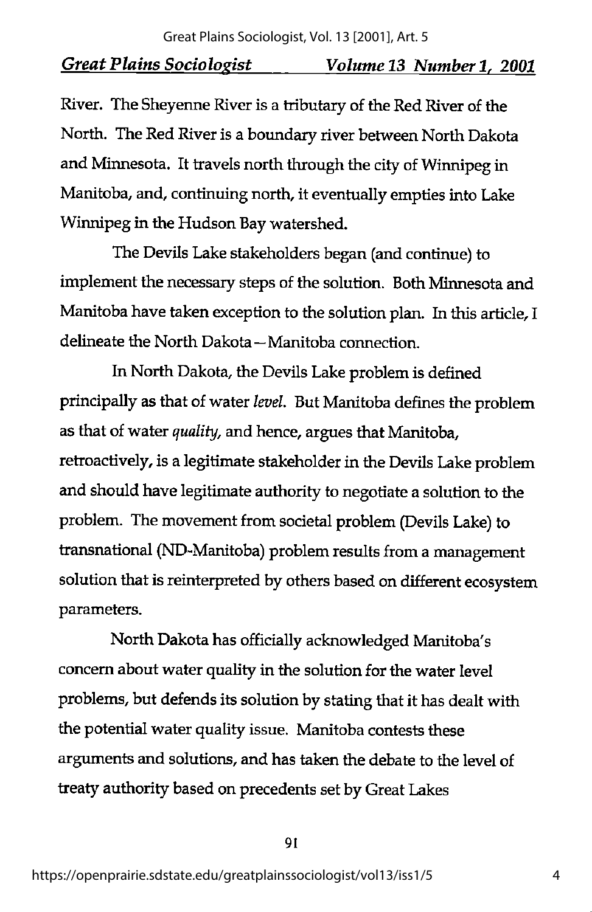River. The Sheyenne River is a tributary of the Red River of the North. The Red River is a boundary river between North Dakota and Minnesota. It travels north through the city of Winnipeg in Manitoba, and, continuing north, it eventually empties into Lake Winnipeg in the Hudson Bay watershed.

The Devils Lake stakeholders began (and continue) to implement the necessary steps of the solution. Both Minnesota and Manitoba have taken exception to the solution plan. In this article, I delineate the North Dakota—Manitoba connection.

In North Dakota, the Devils Lake problem is defined principally as that of water level. But Manitoba defines the problem as that of water quality, and hence, argues that Manitoba, retroactively, is a legitimate stakeholder in the Devils Lake problem and should have legitimate authority to negotiate a solution to the problem. The movement from societal problem (Devils Lake) to transnational (ND-Manitoba) problem results from a management solution that is reinterpreted by others based on different ecosystem parameters.

North Dakota has officially acknowledged Manitoba's concern about water quality in the solution for the water level problems, but defends its solution by stating that it has dealt with the potential water quality issue. Manitoba contests these arguments and solutions, and has taken the debate to the level of treaty authority based on precedents set by Great Lakes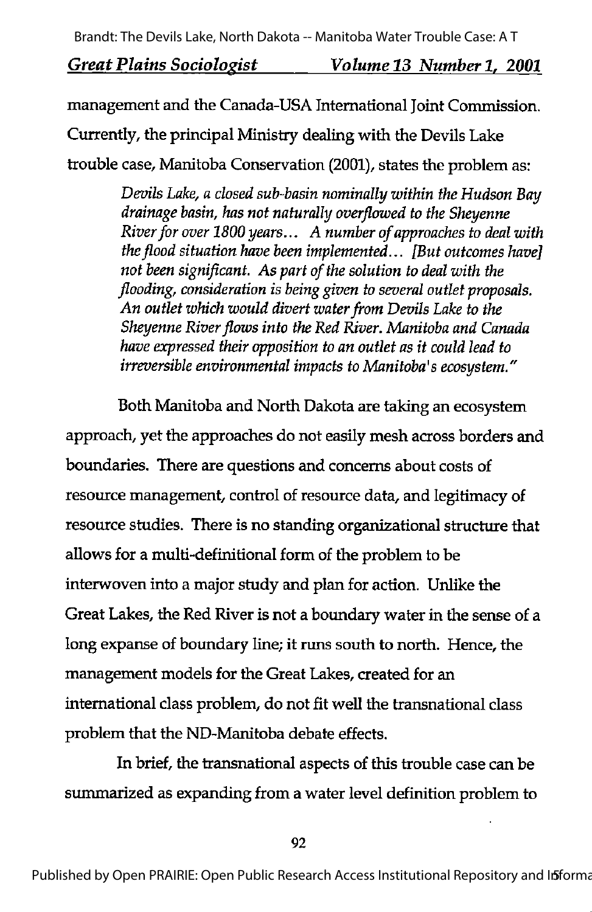management and the Canada-USA International Joint Commission.

Currently, the principal Ministry dealing with the Devils Lake

trouble case, Manitoba Conservation (2001), states the problem as:

Devils Lake, a closed sub-basin nominally within the Hudson Bay drainage basin, has not naturally overflowed to the Sheyenne River for over 1800 years... A number of approaches to deal with the flood situation have been implemented...  $[But$  outcomes have] not been significant. As part of the solution to deal with the flooding, consideration is being given to several outlet proposals. An outlet which would divert water from Devils Lake to the Sheyenne River flows into the Red River. Manitoba and Canada have expressed their opposition to an outlet as it could lead to irreversible environmental impacts to Manitoba's ecosystem."

Both Manitoba and North Dakota are taking an ecosystem approach, yet the approaches do not easily mesh across borders and boundaries. There are questions and concerns about costs of resource management, control of resource data, and legitimacy of resource studies. There is no standing organizational structure that allows for a multi-definitional form of the problem to be interwoven into a major study and plan for action. Unlike the Great Lakes, the Red River is not a boundary water in the sense of a long expanse of boundary line; it runs south to north. Hence, the management models for the Great Lakes, created for an international class problem, do not fit well the transnational class problem that the ND-Manitoba debate effects.

In brief, the transnational aspects of this trouble case can be summarized as expanding from a water level definition problem to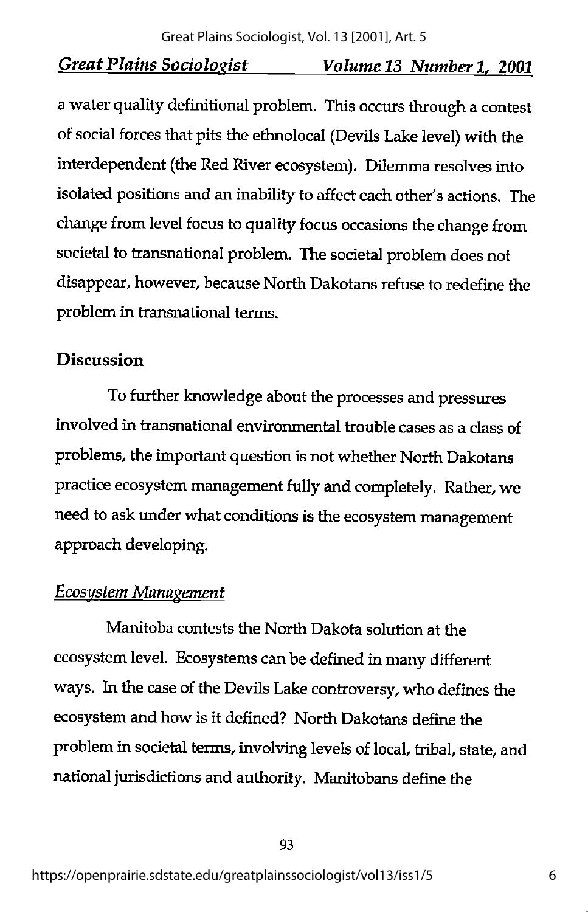a water quality definitional problem. Thisoccurs through a contest of social forces that pits the ethnolocal (Devils Lake level) with the interdependent (the Red River ecosystem). Dilemma resolves into isolated positions and an inability to affect each other's actions. The change from level focus to quality focus occasions the change from societal to transnational problem. The societal problem does not disappear, however, because North Dakotans refuse to redefine the problem in transnational terms.

## Discussion

To further knowledge about the processes and pressures involved in transnational environmental trouble cases as a class of problems, the important question is not whether North Dakotans practice ecosystem management fully and completely. Rather, we need to ask under what conditions is the ecosystem management approach developing.

## Ecosystem Management

Manitoba contests the North Dakota solution at the ecosystem level. Ecosystems canbe defined in manydifferent ways. In the case of the Devils Lake controversy, who defines the ecosystem and how is it defined? North Dakotans define the problem in societal terms, involving levels of local, tribal, state, and national jurisdictions and authority. Manitobans define the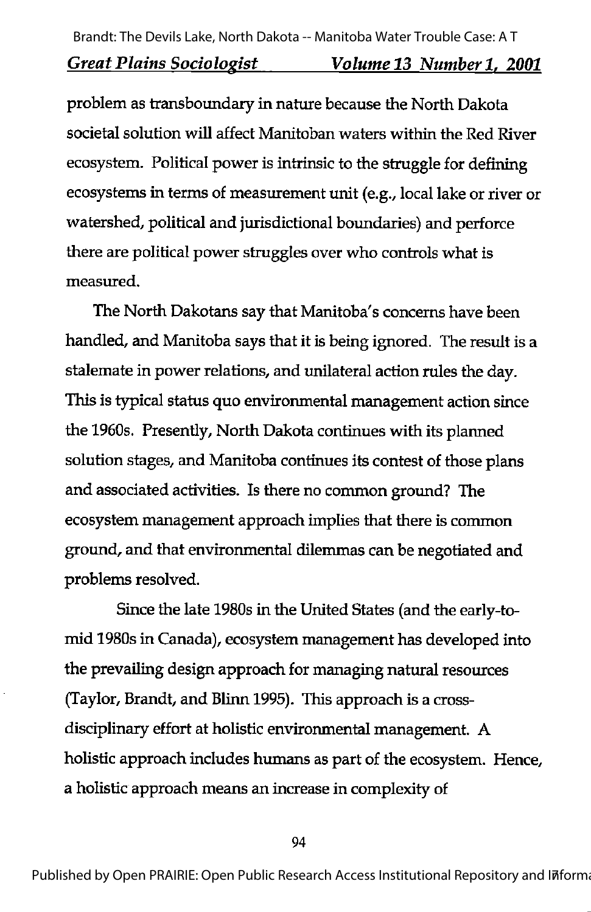problem as transboundary in nature because the North Dakota societal solution will affect Manitoban waters within the Red River ecosystem. Political power is intrinsic to the struggle for defining ecosystems in terms of measurement unit (e.g., local lake or river or watershed, political and jurisdictional boundaries) and perforce there are political power struggles over who controls what is measured.

The North Dakotans say that Manitoba's concerns have been handled, and Manitoba says that it is being ignored. The result is a stalemate in power relations, and unilateral action rules the day. This is typical status quo environmental management action since the 1960s. Presently, North Dakota continues with its planned solution stages, and Manitoba continues its contest of those plans and associated activities. Is there no common ground? The ecosystem management approach implies that there is common ground, and that environmental dilemmas can be negotiated and problems resolved.

Since the late 1980s in the United States (and the early-tomid 1980s in Canada), ecosystem management has developed into the prevailing design approach for managing natural resources (Taylor, Brandt, and Blinn 1995). This approach is a crossdisciplinary effort at holistic environmental management. A holistic approach includes humans as part of the ecosystem. Hence, a holistic approach means an increase in complexity of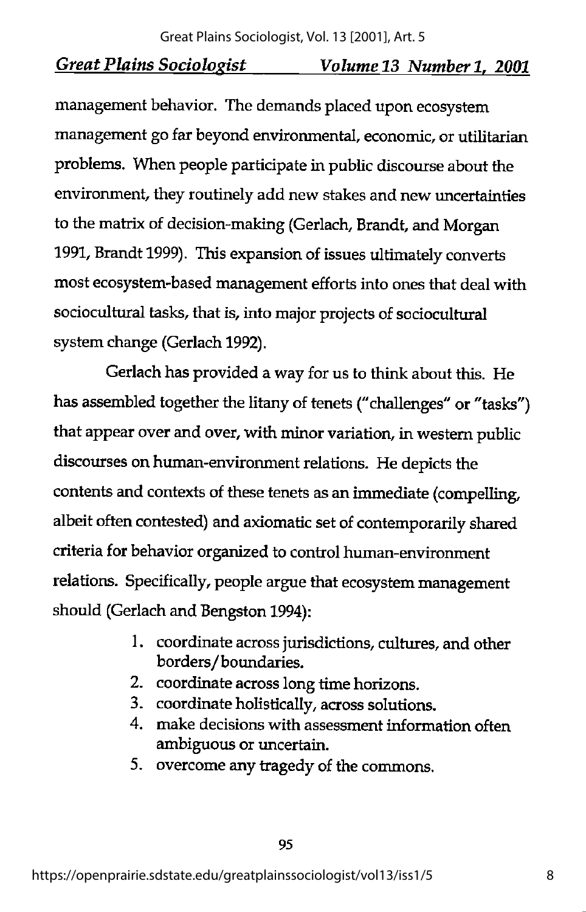management behavior. The demands placed upon ecosystem management go far beyond environmental, economic, or utilitarian problems. When people participate in public discourse about the environment, they routinely add new stakes and new imcertainties to the matrix of decision-making (Gerlach, Brandt, and Morgan 1991, Brandt 1999). This expansion of issues ultimately converts most ecosystem-based management efforts into ones that deal with sociocultural tasks, that is, into major projects of sociocultural system change (Gerlach 1992).

Gerlach has provided a way for us to think about this. He has assembled together the litany of tenets ("challenges" or "tasks") that appear over and over, with minor variation, in western public discourses on human-environment relations. He depicts the contents and contexts of these tenets as an immediate (compelling, albeit often contested) and axiomatic set of contemporarily shared criteria for behavior organized to control human-environment relations. Specifically, people argue that ecosystem management should (Gerlach and Bengston 1994):

- 1. coordinate across jurisdictions, cultures, and other borders/boundaries.
- 2. coordinate across long time horizons.
- 3. coordinate holistically, across solutions.
- 4. make decisions with assessment information often ambiguous or uncertain.
- 5. overcome any tragedy of the commons.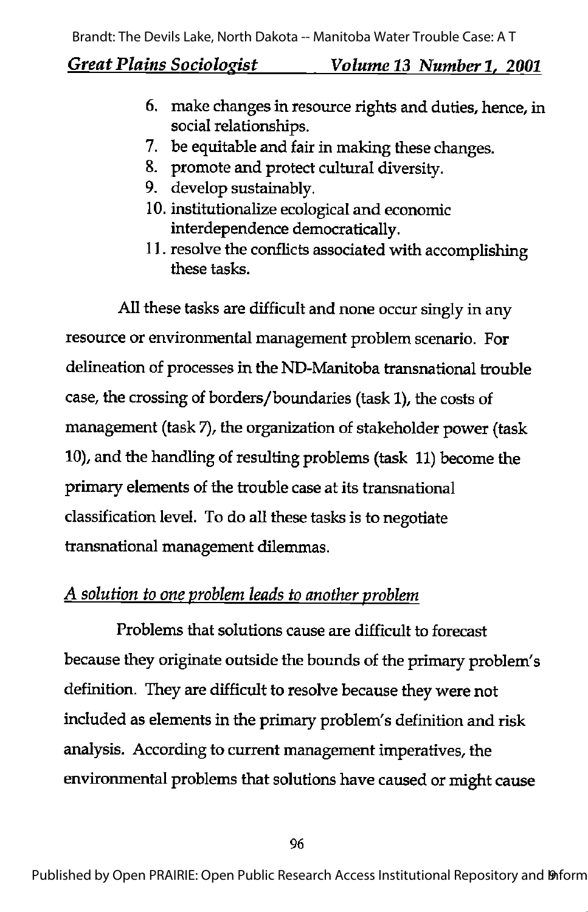- 6. make changes in resource rights and duties, hence, in social relationships.
- 7. be equitable and fair in making these changes.
- 8. promote and protect cultural diversity.
- 9. develop sustainably.
- 10. institutionalize ecological and economic interdependence democratically.
- 11. resolve the conflicts associated with accomplishing these tasks.

All these tasks are difficult and none occur singly in any resource or environmental management problem scenario. For delineation of processes in the ND-Manitoba transnational trouble case, the crossing of borders/boundaries (task 1), the costs of management (task 7), the organization of stakeholder power (task 10), and the handling of resulting problems (task 11) become the primary elements of the trouble case at its transnational classification level. To do all these tasks is to negotiate transnational management dilemmas.

## A solution to one problem leads to another problem

Problems that solutions cause are difficult to forecast because they originate outside the bounds of the primary problem's definition. They are difficult to resolve because they were not included as elements in the primary problem's definition and risk analysis. According to current management imperatives, the environmental problems that solutions have caused or might cause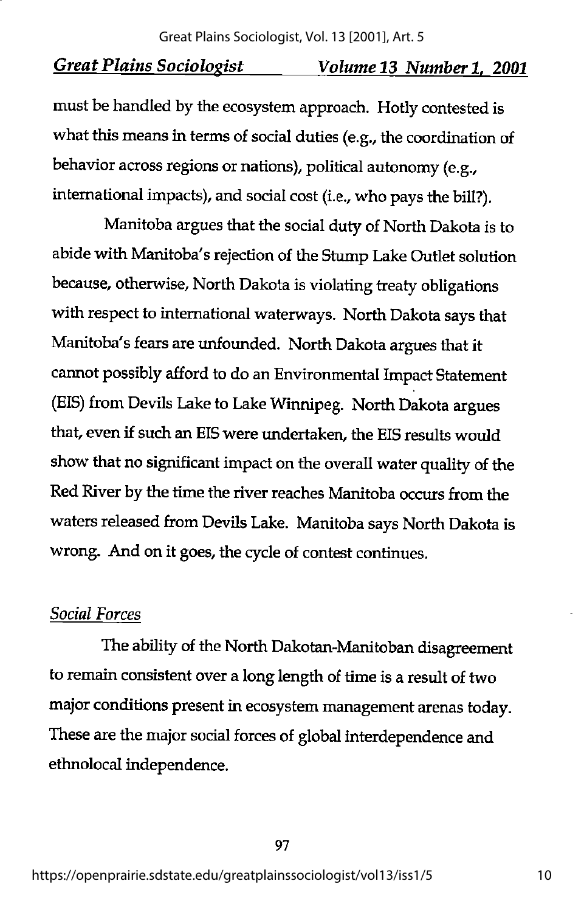must be handled by the ecosystem approach. Hotly contested is what this means in terms of social duties (e.g., the coordination of behavior across regions or nations), political autonomy (e.g., international impacts), and social cost (i.e., who pays the bill?).

Manitoba argues that the social duty of North Dakota is to abide with Manitoba's rejection of the Stump Lake Outlet solution because, otherwise, North Dakota is violating treaty obligations with respect to international waterways. North Dakota says that Manitoba's fears are unfounded. North Dakota argues that it cannot possibly afford to do an Environmental Impact Statement (EIS) from Devils Lake to Lake Winnipeg. North Dakota argues that, even if such an EIS were undertaken, the EIS results would show that no significant impact on the overall water quality of the Red River by the time the river reaches Manitoba occurs from the waters released from Devils Lake. Manitoba says North Dakota is wrong. And on it goes, the cycle of contest continues.

#### Social Forces

The ability of the North Dakotan-Manitoban disagreement to remain consistent over a long length of time is a result of two major conditions present in ecosystem management arenas today. These are the major social forces of global interdependence and ethnolocal independence.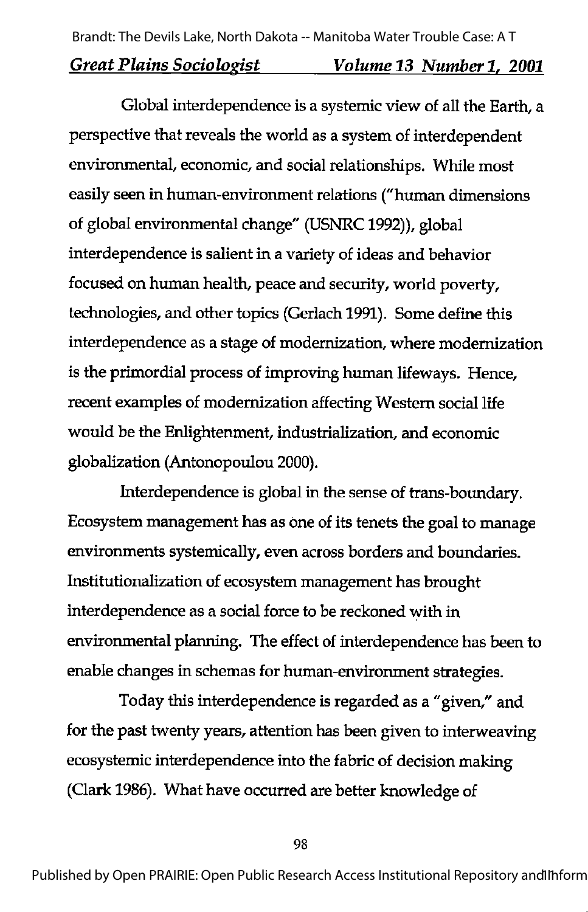Global interdependence is a systemic view of all the Earth, a perspective that reveals the world as a system of interdependent environmental, economic, and social relationships. While most easily seen in human-environment relations ("human dimensions of global environmental change" (USNRC1992)), global interdependence is salient in a variety of ideas and behavior focused on human health, peace and security, world poverty, technologies, and other topics (Gerlach 1991). Some define this interdependence as a stage of modernization, where modernization is the primordial process of improving human lifeways. Hence, recent examples of modernization affecting Western social life would be the Enlightenment, industrialization, and economic globalization (Antonopoulou 2000).

Interdependence is global in die sense of trans-boundary. Ecosystem management has as one of its tenets the goal to manage environments systemically, even across borders and boundaries. Institutionalization of ecosystem management has brought interdependence as a social force to be reckoned with in environmental planning. The effect of interdependence has been to enable changes in schemas for human-environment strategies.

Today this interdependence is regarded as a "given," and for the past twenty years, attention has been given to interweaving ecosystemic interdependence into the fabric of decision making (Qark 1986). What have occurred are better knowledge of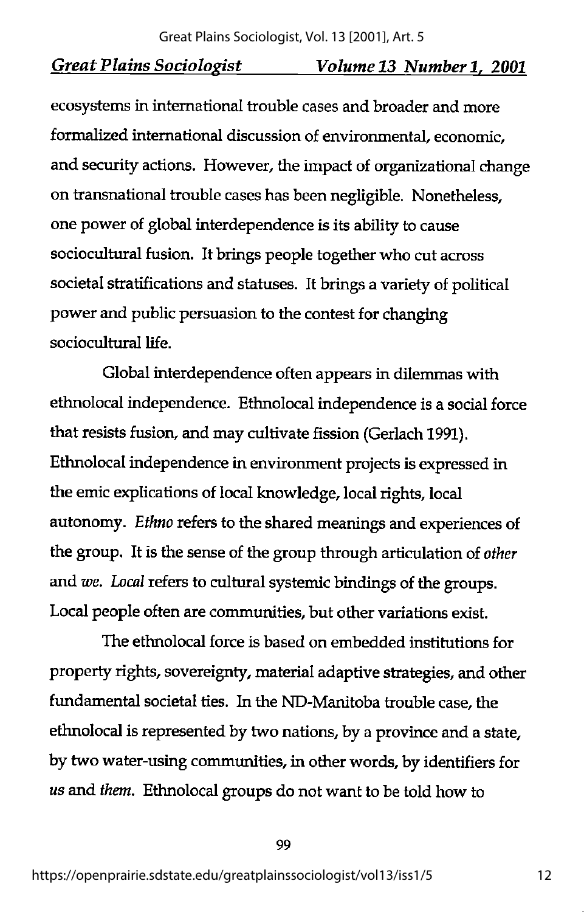ecosystems in international trouble cases and broader and more formalized international discussion of environmental, economic, and security actions. However, the impact of organizational change on transnational trouble cases has been negligible. Nonetheless, one power of global interdependence is its ability to cause sociocultural fusion. It brings people together who cut across societal stratifications and statuses. It brings a variety of political power and public persuasion to the contest for changing sociocultural life.

Global interdependence often appears in dilemmas with ethnolocal independence. Ethnolocal independence is a social force that resists fusion, and may cultivate fission (Gerlach 1991). Ethnolocal independence in environment projects is expressed in the emic explications of local knowledge, local rights, local autonomy. Ethno refers to the shared meanings and experiences of the group. It is the sense of the group through articulation of other and we. Local refers to cultural systemic bindings of the groups. Local people often are communities, but other variations exist.

The ethnolocal force is based on embedded institutions for property rights, sovereignty, material adaptive strategies, and other fundamental societal ties. In the ND-Manitoba trouble case, the ethnolocal is represented by two nations, by a province and a state, by two water-using communities, in other words, by identifiers for us and them. Ethnolocal groups do not want to be told how to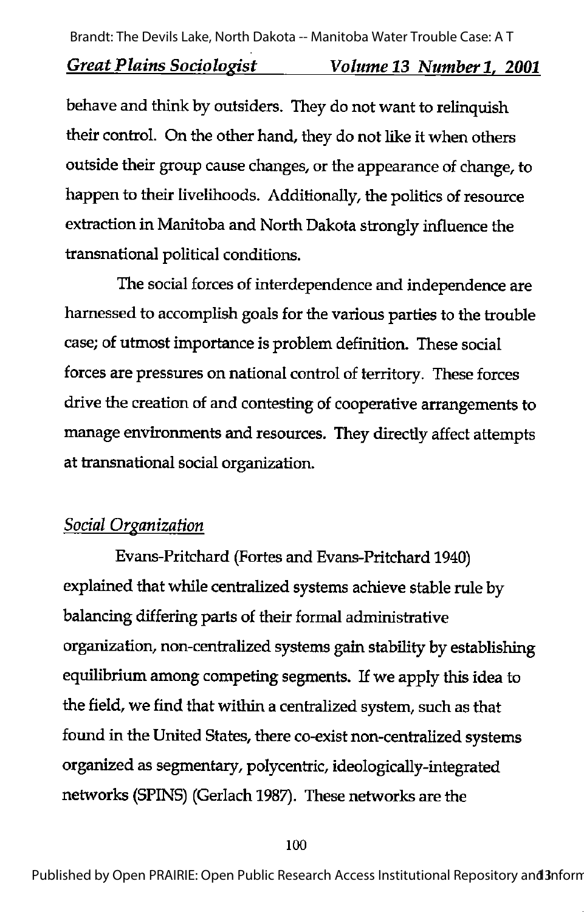behave and think by outsiders. They do not want to relinquish their control. On the other hand, they do not like it when others outside their group cause changes, or the appearance of change, to happen to their livelihoods. Additionally, the politics of resource extraction in Manitoba and North Dakota strongly influence the transnational political conditions.

The social forces of interdependence and independence are harnessed to accomplish goals for the various parties to the trouble case; of utmost importance is problem definition. These social forces are pressures on national control of territory. These forces drive the creation of and contesting of cooperative arrangements to manage environments and resources. They directly affect attempts at transnational social organization.

## **Social Organization**

Evans-Pritchard (Fortes and Evans-Pritchard 1940) explained that while centralized systems achieve stable rule by balancing differing parts of their formal administrative organization, non-centralized systems gain stability by establishing equilibrium among competing segments. If we apply this idea to the field, we find that within a centralized system, such as that found in the United States, there co-exist non-centralized systems organized as segmentary, polycentric, ideologically-integrated networks (SPINS) (Gerlach 1987). These networks are the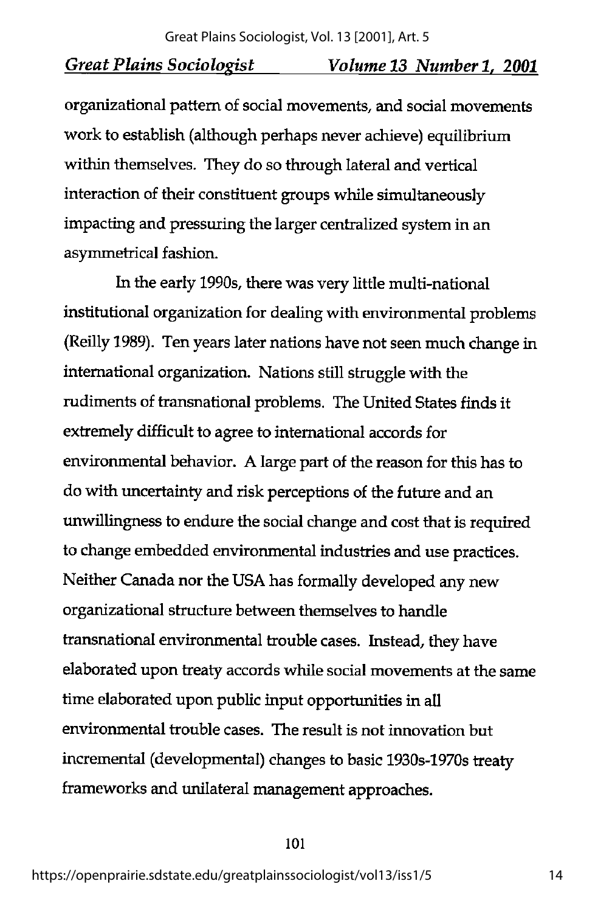organizational pattern of social movements, and social movements work to establish (although perhaps never achieve) equilibrium within themselves. They do so through lateral and vertical interaction of their constituent groups while simultaneously impacting and pressuring the larger centralized system in an asymmetrical fashion.

In the early 1990s, there was very little multi-national institutional organization for dealing with environmental problems (Reilly 1989). Ten years later nations have not seen much change in international organization. Nations still struggle with the rudiments of transnational problems. The United States finds it extremely difficult to agree to international accords for environmental behavior. A large part of the reason for this has to do with uncertainty and risk perceptions of the future and an unwillingness to endure the social change and cost that is required to change embedded environmental industries and use practices. Neither Canada nor the USA has formally developed any new organizational structure between themselves to handle transnational environmental trouble cases. Instead, they have elaborated upon treaty accords while social movements at the same time elaborated upon public input opportunities in all environmental trouble cases. The result is not innovation but incremental (developmental) changes to basic 1930s-1970s treaty frameworks and unilateral management approaches.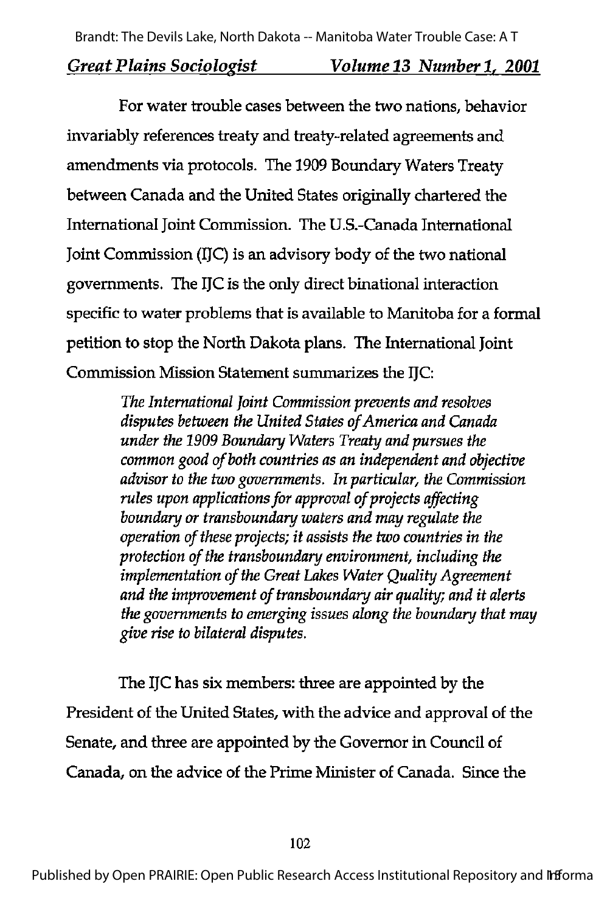For water trouble cases between the two nations, behavior invariably references treaty and treaty-related agreements and amendments via protocols. The 1909 Boundary Waters Treaty between Canada and the United States originally chartered the International Joint Commission. The U.S.-Canada International Joint Commission (IJC) is an advisory body of the two national governments. The IJC is the only direct binational interaction specific to water problems that is available to Manitoba for a formal petition to stop the North Dakota plans. The International Joint Commission Mission Statement summarizes the IJC:

> The International Joint Commission prevents and resolves disputes between the United States of America and Canada under the 1909 Boundary Waters Treaty and pursues the common good of both countries as an independent and objective advisor to the two governments. In particular, the Commission rules upon applications for approval of projects affecting boundary or transboundary waters and may regulate the operation of these projects; it assists the two countries in the protection of the transboundary environment, including the implementation of the Great Lakes Water Quality Agreement and the improvement of transboundary air quality; and it alerts the governments to emerging issues along the boundary that may give rise to bilateral disputes.

The IfC has six members: three are appointed by the President of the United States, with the advice and approval of the Senate, and three are appointed by the Governor in Council of Canada, on the advice of the Prime Minister of Canada. Since the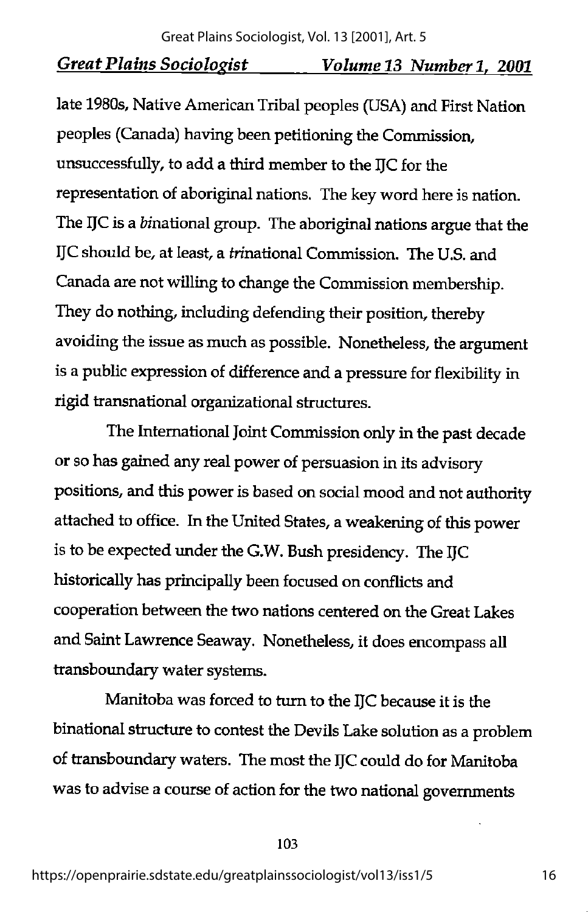late 1980s, Native American Tribal peoples (USA) and First Nation peoples (Canada) having been petitioning the Commission, unsuccessfully, to add a third member to the IJC for the representation of aboriginal nations. The key word here is nation. The IJC is a binational group. The aboriginal nations argue that the IJC should be, at least, a frinational Commission. The U.S. and Canada are not willing to change the Commission membership. They do nothing, including defending their position, thereby avoiding the issue as much as possible. Nonetheless, the argument is a public expression of difference and a pressure for flexibility in rigid transnational organizational structures.

The International Joint Commission only in the past decade or so has gained any real power of persuasion in its advisory positions, and this power is based on social mood and not authority attached to office. In the United States, a weakening of this power is to be expected under the G.W. Bush presidency. The IJC historically has principally been focused on conflicts and cooperation between the two nations centered on the Great Lakes and Saint Lawrence Seaway. Nonetheless, it does encompass all transboundary water systems.

Manitoba was forced to turn to the IJC because it is the binational structure to contest the Devils Lake solution as a problem of transboundary waters. The most the IJC could do for Manitoba was to advise a course of action for the two national governments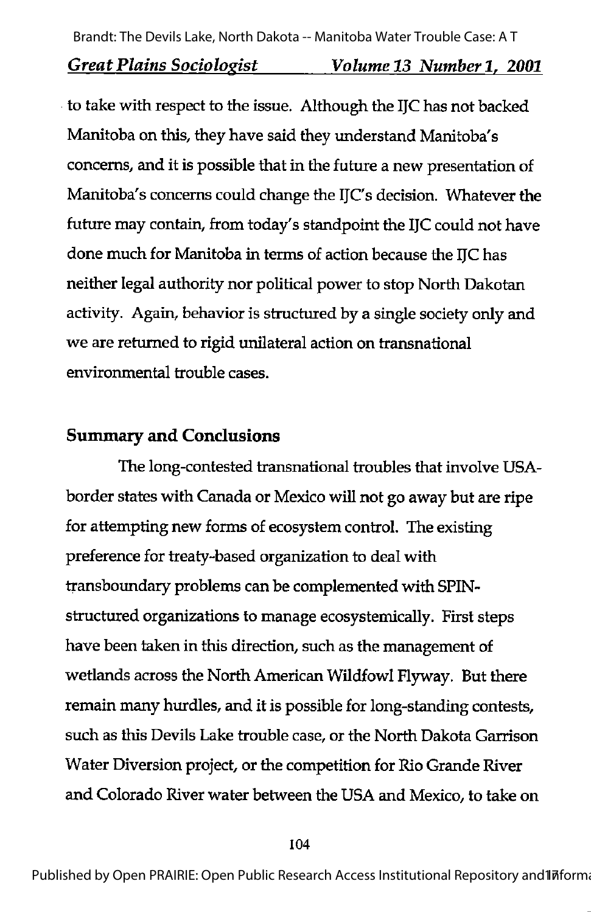to take with respect to the issue. Although the IJC has not backed Manitoba on this, they have said they understand Manitoba's concerns, and it is possible that in the future a new presentation of Manitoba's concerns could change the IJC's decision. Whatever the future may contain, from today's standpoint the IJC could not have done much for Manitoba in terms of action because the IJC has neither legal authority nor political power to stop North Dakotan activity. Again, behavior is structured by a single society only and we are returned to rigid unilateral action on transnational environmental trouble cases.

### Summary and Conclusions

The long-contested transnational troubles that involve USAborder states with Canada or Mexico will not go away but are ripe for attempting new forms of ecosystem control. The existing preference for treaty-based organization to deal with transboundary problems can be complemented with SPINstructured organizations to manage ecosystemically. First steps have been taken in this direction, such as the management of wetlands across the North American Wildfowl Flyway. But there remain many hurdles, and it is possible for long-standing contests, such as this Devils Lake trouble case, or the North Dakota Garrison Water Diversion project, or the competition for Rio Grande River and Colorado River water between the USA and Mexico, to take on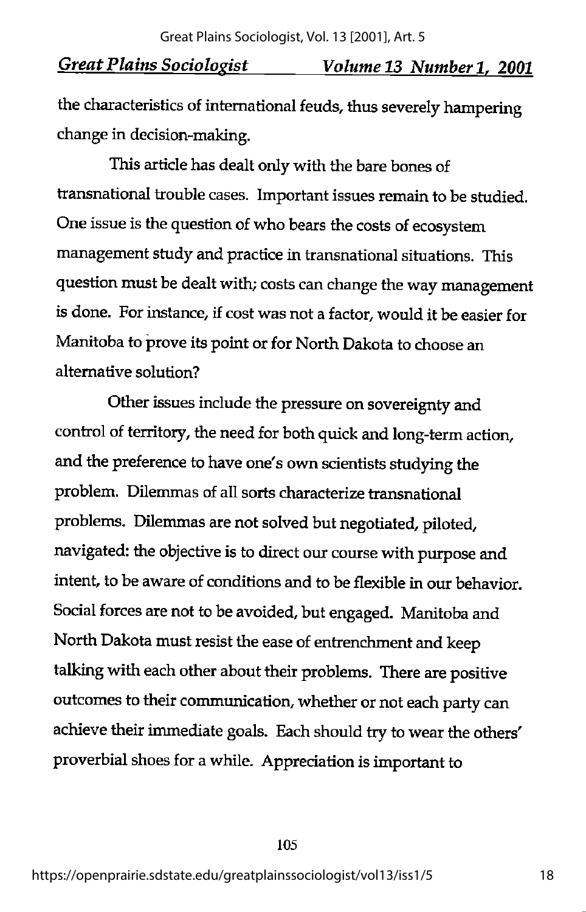the characteristics of international feuds, thus severely hampering change in decision-making.

This article has dealt only with the bare bones of transnational trouble cases. Important issues remain to be studied. One issue is the question of who bears the costs of ecosystem management study and practice in transnational situations. This question must be dealt with; costs can change the way management is done. For instance, if cost was not a factor, would it be easier for Manitoba to prove its point or for North Dakota to choose an alternative solution?

Other issues include the pressure on sovereignty and control of territory, the need for both quick and long-term action, and the preference to have one's own scientists studying the problem. Dilemmas of all sorts characterize transnational problems. Dilemmas are not solved but negotiated, piloted, navigated: the objective is to direct our course with purpose and intent, to be aware of conditions and to be flexible in our behavior. Social forces are not to be avoided, but engaged. Manitoba and North Dakota must resist the ease of entrenchment and keep talking with each other about their problems. There are positive outcomes to their communication, whether or not each party can achieve their immediate goals. Each should try to wear the others' proverbial shoes for a while. Appreciation is important to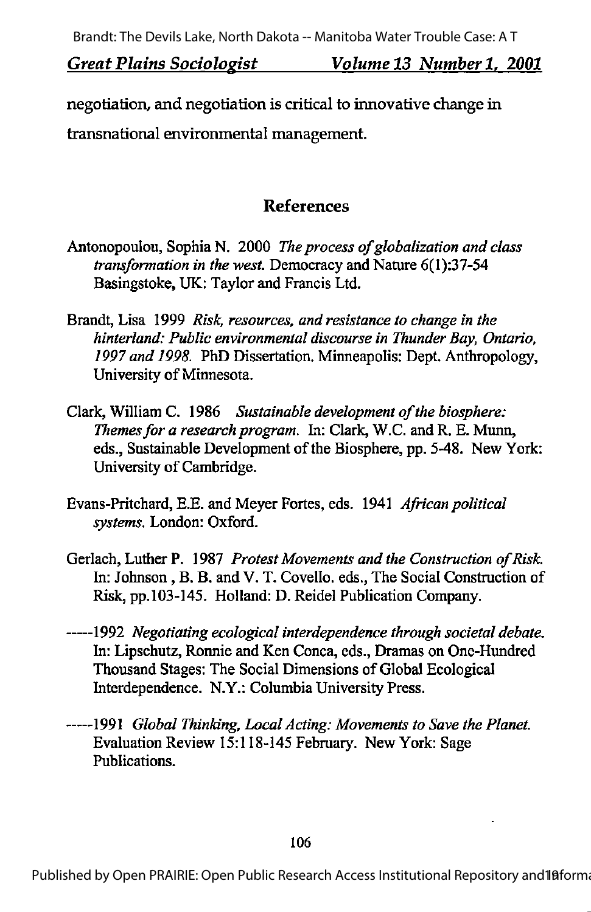negotiation, and negotiation is critical to innovative change in transnational environmental management.

### References

- Antonopoulou, Sophia N. 2000 The process of globalization and class transformation in the west. Democracy and Nature 6(1):37-54 Basingstoke, UK: Taylor and Francis Ltd.
- Brandt, Lisa 1999 Risk, resources, and resistance to change in the hinterland: Public environmental discourse in Thunder Bay, Ontario. 1997 and 1998. PhD Dissertation. Minneapolis: Dept. Anthropology, University of Minnesota.
- Clark, William C. 1986 Sustainable development of the biosphere: Themes for a research program. In: Clark, W.C. and R. E. Munn, eds., Sustainable Development of the Biosphere, pp. 5-48. New York: University of Cambridge.
- Evans-Pritchard, E.E. and Meyer Fortes, eds. 1941 African political systems. London: Oxford.
- Gerlach, Luther P. 1987 Protest Movements and the Construction of Risk. In: Johnson, B. B. and V. T. Covello. eds., The Social Construction of Risk, pp.103-145. Holland: D. Reidel Publication Company.
- -----1992 Negotiating ecological interdependence through societal debate. In: Lipschutz, Ronnie and Ken Conca, eds., Dramas on One-Hundred Thousand Stages: The Social Dimensions of Global Ecological Interdependence. N.Y.: Columbia University Press.
- •1991 Global Thinking, Local Acting: Movements to Save the Planet. Evaluation Review 15:118-145 Febraary. New York: Sage Publications.